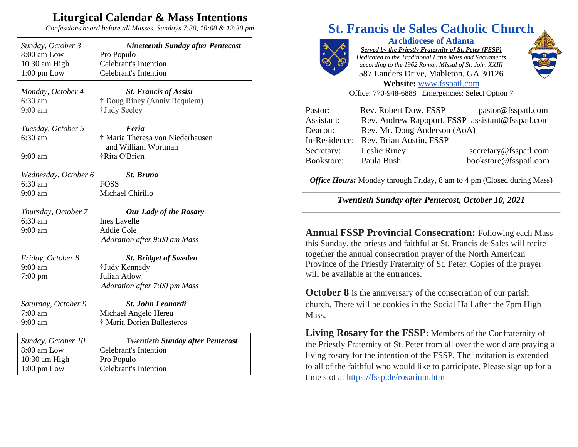## **Liturgical Calendar & Mass Intentions**

*Confessions heard before all Masses. Sundays 7:30, 10:00 & 12:30 pm*

| Sunday, October 3<br>8:00 am Low<br>10:30 am High<br>$1:00$ pm Low | <b>Nineteenth Sunday after Pentecost</b><br>Pro Populo<br><b>Celebrant's Intention</b><br><b>Celebrant's Intention</b> |
|--------------------------------------------------------------------|------------------------------------------------------------------------------------------------------------------------|
|                                                                    |                                                                                                                        |
| Monday, October 4<br>6:30 am<br>$9:00$ am                          | <b>St. Francis of Assisi</b><br>† Doug Riney (Anniv Requiem)<br>†Judy Seeley                                           |
| Tuesday, October 5<br>$6:30 \text{ am}$                            | Feria<br>† Maria Theresa von Niederhausen                                                                              |
| $9:00$ am                                                          | and William Wortman<br>†Rita O'Brien                                                                                   |
| Wednesday, October 6                                               | <b>St. Bruno</b>                                                                                                       |
| $6:30$ am                                                          | <b>FOSS</b>                                                                                                            |
| 9:00 am                                                            | Michael Chirillo                                                                                                       |
| Thursday, October 7                                                | <b>Our Lady of the Rosary</b>                                                                                          |
| 6:30 am                                                            | <b>Ines Lavelle</b>                                                                                                    |
| 9:00 am                                                            | Addie Cole                                                                                                             |
|                                                                    | Adoration after 9:00 am Mass                                                                                           |
| Friday, October 8                                                  | <b>St. Bridget of Sweden</b>                                                                                           |
| $9:00$ am                                                          | †Judy Kennedy                                                                                                          |
| $7:00 \text{ pm}$                                                  | Julian Atlow                                                                                                           |
|                                                                    | Adoration after 7:00 pm Mass                                                                                           |
| Saturday, October 9                                                | <b>St. John Leonardi</b>                                                                                               |
| $7:00 \text{ am}$                                                  | Michael Angelo Hereu                                                                                                   |
| 9:00 am                                                            | † Maria Dorien Ballesteros                                                                                             |
| Sunday, October 10                                                 | <b>Twentieth Sunday after Pentecost</b>                                                                                |
| 8:00 am Low                                                        | <b>Celebrant's Intention</b>                                                                                           |
| 10:30 am High                                                      | Pro Populo                                                                                                             |
| $1:00 \text{ pm}$ Low                                              | <b>Celebrant's Intention</b>                                                                                           |

## **St. Francis de Sales Catholic Church**



**Archdiocese of Atlanta** *Served by the Priestly Fraternity of St. Peter (FSSP) Dedicated to the Traditional Latin Mass and Sacraments according to the 1962 Roman MIssal of St. John XXIII* 587 Landers Drive, Mableton, GA 30126



**Website:** [www.fsspatl.com](http://www.fsspatl.com/) Office: 770-948-6888 Emergencies: Select Option 7

| Pastor:    | Rev. Robert Dow, FSSP                            | pastor@fsspatl.com    |  |
|------------|--------------------------------------------------|-----------------------|--|
| Assistant: | Rev. Andrew Rapoport, FSSP assistant@fsspatl.com |                       |  |
| Deacon:    | Rev. Mr. Doug Anderson (AoA)                     |                       |  |
|            | In-Residence: Rev. Brian Austin, FSSP            |                       |  |
| Secretary: | Leslie Riney                                     | secretary@fsspatl.com |  |
| Bookstore: | Paula Bush                                       | bookstore@fsspatl.com |  |

*Office Hours:* Monday through Friday, 8 am to 4 pm (Closed during Mass)

*Twentieth Sunday after Pentecost, October 10, 2021*

**Annual FSSP Provincial Consecration:** Following each Mass this Sunday, the priests and faithful at St. Francis de Sales will recite together the annual consecration prayer of the North American Province of the Priestly Fraternity of St. Peter. Copies of the prayer will be available at the entrances.

**October 8** is the anniversary of the consecration of our parish church. There will be cookies in the Social Hall after the 7pm High Mass.

**Living Rosary for the FSSP:** Members of the Confraternity of the Priestly Fraternity of St. Peter from all over the world are praying a living rosary for the intention of the FSSP. The invitation is extended to all of the faithful who would like to participate. Please sign up for a time slot at <https://fssp.de/rosarium.htm>